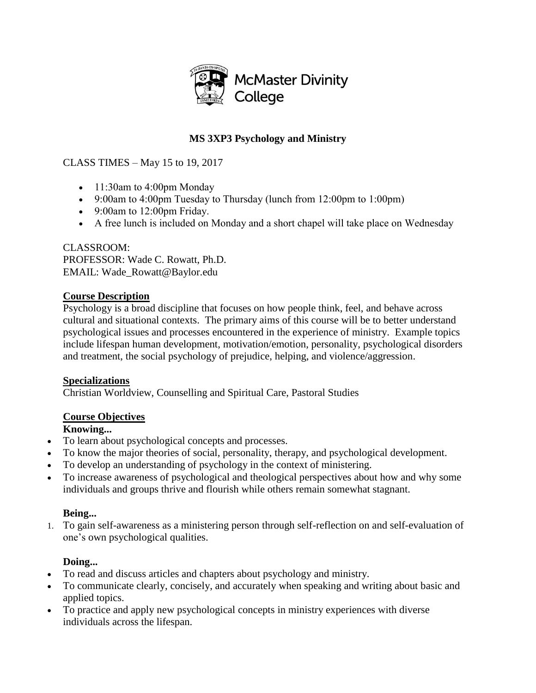

# **MS 3XP3 Psychology and Ministry**

# CLASS TIMES – May 15 to 19, 2017

- 11:30am to 4:00pm Monday
- 9:00am to 4:00pm Tuesday to Thursday (lunch from  $12:00$ pm to  $1:00$ pm)
- 9:00am to 12:00pm Friday.
- A free lunch is included on Monday and a short chapel will take place on Wednesday

CLASSROOM: PROFESSOR: Wade C. Rowatt, Ph.D. EMAIL: Wade\_Rowatt@Baylor.edu

#### **Course Description**

Psychology is a broad discipline that focuses on how people think, feel, and behave across cultural and situational contexts. The primary aims of this course will be to better understand psychological issues and processes encountered in the experience of ministry. Example topics include lifespan human development, motivation/emotion, personality, psychological disorders and treatment, the social psychology of prejudice, helping, and violence/aggression.

# **Specializations**

Christian Worldview, Counselling and Spiritual Care, Pastoral Studies

# **Course Objectives**

# **Knowing...**

- To learn about psychological concepts and processes.
- To know the major theories of social, personality, therapy, and psychological development.
- To develop an understanding of psychology in the context of ministering.
- To increase awareness of psychological and theological perspectives about how and why some individuals and groups thrive and flourish while others remain somewhat stagnant.

# **Being...**

1. To gain self-awareness as a ministering person through self-reflection on and self-evaluation of one's own psychological qualities.

# **Doing...**

- To read and discuss articles and chapters about psychology and ministry.
- To communicate clearly, concisely, and accurately when speaking and writing about basic and applied topics.
- To practice and apply new psychological concepts in ministry experiences with diverse individuals across the lifespan.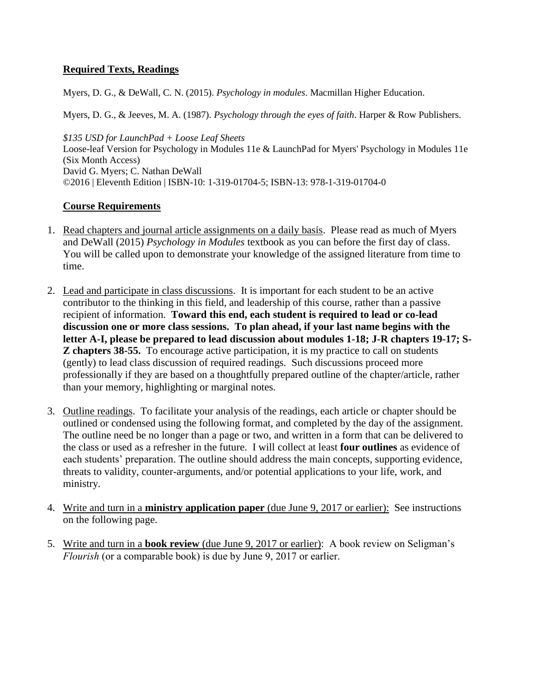# **Required Texts, Readings**

Myers, D. G., & DeWall, C. N. (2015). *Psychology in modules*. Macmillan Higher Education.

Myers, D. G., & Jeeves, M. A. (1987). *Psychology through the eyes of faith*. Harper & Row Publishers.

*\$135 USD for LaunchPad + Loose Leaf Sheets* Loose-leaf Version for Psychology in Modules 11e & LaunchPad for Myers' Psychology in Modules 11e (Six Month Access) David G. Myers; C. Nathan DeWall ©2016 | Eleventh Edition | ISBN-10: 1-319-01704-5; ISBN-13: 978-1-319-01704-0

# **Course Requirements**

- 1. Read chapters and journal article assignments on a daily basis. Please read as much of Myers and DeWall (2015) *Psychology in Modules* textbook as you can before the first day of class. You will be called upon to demonstrate your knowledge of the assigned literature from time to time.
- 2. Lead and participate in class discussions. It is important for each student to be an active contributor to the thinking in this field, and leadership of this course, rather than a passive recipient of information. **Toward this end, each student is required to lead or co-lead discussion one or more class sessions. To plan ahead, if your last name begins with the letter A-I, please be prepared to lead discussion about modules 1-18; J-R chapters 19-17; S-Z chapters 38-55.** To encourage active participation, it is my practice to call on students (gently) to lead class discussion of required readings. Such discussions proceed more professionally if they are based on a thoughtfully prepared outline of the chapter/article, rather than your memory, highlighting or marginal notes.
- 3. Outline readings. To facilitate your analysis of the readings, each article or chapter should be outlined or condensed using the following format, and completed by the day of the assignment. The outline need be no longer than a page or two, and written in a form that can be delivered to the class or used as a refresher in the future. I will collect at least **four outlines** as evidence of each students' preparation. The outline should address the main concepts, supporting evidence, threats to validity, counter-arguments, and/or potential applications to your life, work, and ministry.
- 4. Write and turn in a **ministry application paper** (due June 9, 2017 or earlier): See instructions on the following page.
- 5. Write and turn in a **book review** (due June 9, 2017 or earlier): A book review on Seligman's *Flourish* (or a comparable book) is due by June 9, 2017 or earlier.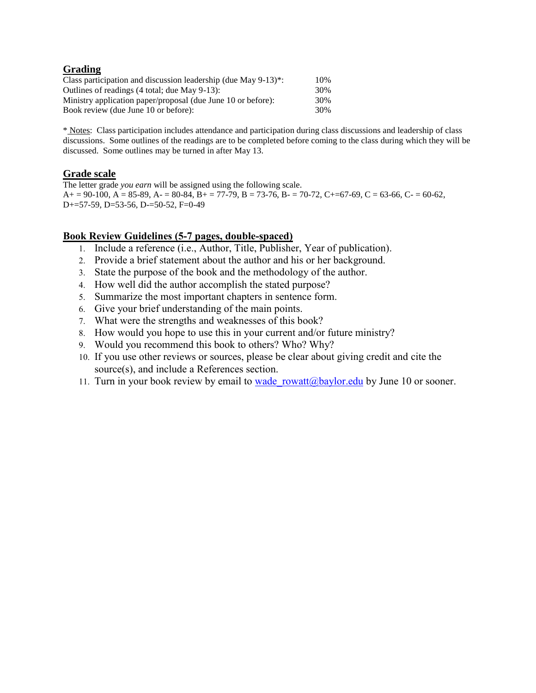#### **Grading**

| Class participation and discussion leadership (due May $9-13$ )*:                                                                                     | 10%               |
|-------------------------------------------------------------------------------------------------------------------------------------------------------|-------------------|
| Outlines of readings (4 total; due May 9-13):<br>Ministry application paper/proposal (due June 10 or before):<br>Book review (due June 10 or before): | 30%<br>30%<br>30% |

\* Notes: Class participation includes attendance and participation during class discussions and leadership of class discussions. Some outlines of the readings are to be completed before coming to the class during which they will be discussed. Some outlines may be turned in after May 13.

#### **Grade scale**

The letter grade *you earn* will be assigned using the following scale.  $A= 90-100$ ,  $A = 85-89$ ,  $A= 80-84$ ,  $B= 77-79$ ,  $B = 73-76$ ,  $B= 70-72$ ,  $C= 67-69$ ,  $C = 63-66$ ,  $C= 60-62$ , D+=57-59, D=53-56, D-=50-52, F=0-49

#### **Book Review Guidelines (5-7 pages, double-spaced)**

- 1. Include a reference (i.e., Author, Title, Publisher, Year of publication).
- 2. Provide a brief statement about the author and his or her background.
- 3. State the purpose of the book and the methodology of the author.
- 4. How well did the author accomplish the stated purpose?
- 5. Summarize the most important chapters in sentence form.
- 6. Give your brief understanding of the main points.
- 7. What were the strengths and weaknesses of this book?
- 8. How would you hope to use this in your current and/or future ministry?
- 9. Would you recommend this book to others? Who? Why?
- 10. If you use other reviews or sources, please be clear about giving credit and cite the source(s), and include a References section.
- 11. Turn in your book review by email to wade rowatt@baylor.edu by June 10 or sooner.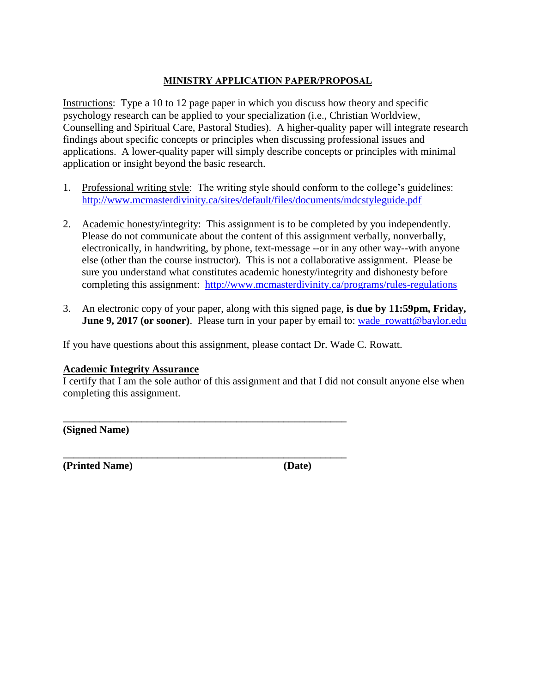#### **MINISTRY APPLICATION PAPER/PROPOSAL**

Instructions: Type a 10 to 12 page paper in which you discuss how theory and specific psychology research can be applied to your specialization (i.e., Christian Worldview, Counselling and Spiritual Care, Pastoral Studies). A higher-quality paper will integrate research findings about specific concepts or principles when discussing professional issues and applications. A lower-quality paper will simply describe concepts or principles with minimal application or insight beyond the basic research.

- 1. Professional writing style: The writing style should conform to the college's guidelines: [http://www.mcmasterdivinity.ca/sites/default/files/documents/mdcstyleguide.pdf](http://www.mcmasterdivinity.ca/sites/default/files/documents/MDCStyleGuide.pdf)
- 2. Academic honesty/integrity: This assignment is to be completed by you independently. Please do not communicate about the content of this assignment verbally, nonverbally, electronically, in handwriting, by phone, text-message --or in any other way--with anyone else (other than the course instructor). This is not a collaborative assignment. Please be sure you understand what constitutes academic honesty/integrity and dishonesty before completing this assignment: <http://www.mcmasterdivinity.ca/programs/rules-regulations>
- 3. An electronic copy of your paper, along with this signed page, **is due by 11:59pm, Friday, June 9, 2017** (or sooner). Please turn in your paper by email to: wade rowatt@baylor.edu

If you have questions about this assignment, please contact Dr. Wade C. Rowatt.

**\_\_\_\_\_\_\_\_\_\_\_\_\_\_\_\_\_\_\_\_\_\_\_\_\_\_\_\_\_\_\_\_\_\_\_\_\_\_\_\_\_\_\_\_\_\_\_\_\_\_\_\_\_\_**

**\_\_\_\_\_\_\_\_\_\_\_\_\_\_\_\_\_\_\_\_\_\_\_\_\_\_\_\_\_\_\_\_\_\_\_\_\_\_\_\_\_\_\_\_\_\_\_\_\_\_\_\_\_\_**

#### **Academic Integrity Assurance**

I certify that I am the sole author of this assignment and that I did not consult anyone else when completing this assignment.

**(Signed Name)**

**(Printed Name) (Date)**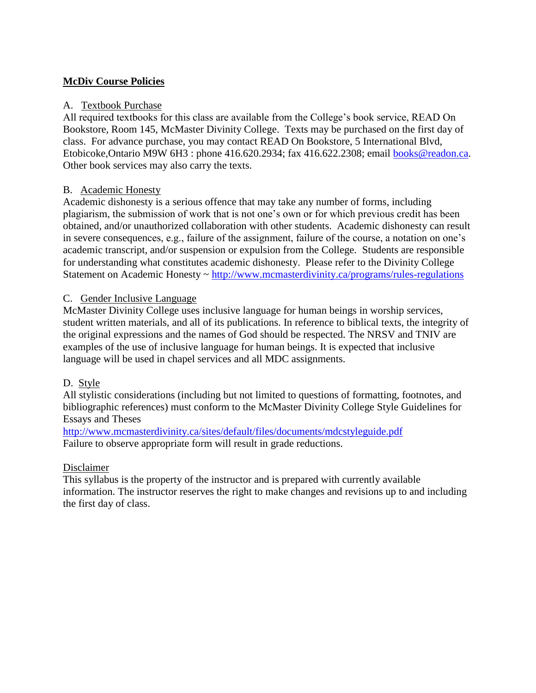# **McDiv Course Policies**

### A. Textbook Purchase

All required textbooks for this class are available from the College's book service, READ On Bookstore, Room 145, McMaster Divinity College. Texts may be purchased on the first day of class. For advance purchase, you may contact READ On Bookstore, 5 International Blvd, Etobicoke,Ontario M9W 6H3 : phone 416.620.2934; fax 416.622.2308; email [books@readon.ca.](mailto:books@readon.ca) Other book services may also carry the texts.

#### B. Academic Honesty

Academic dishonesty is a serious offence that may take any number of forms, including plagiarism, the submission of work that is not one's own or for which previous credit has been obtained, and/or unauthorized collaboration with other students. Academic dishonesty can result in severe consequences, e.g., failure of the assignment, failure of the course, a notation on one's academic transcript, and/or suspension or expulsion from the College. Students are responsible for understanding what constitutes academic dishonesty. Please refer to the Divinity College Statement on Academic Honesty ~<http://www.mcmasterdivinity.ca/programs/rules-regulations>

#### C. Gender Inclusive Language

McMaster Divinity College uses inclusive language for human beings in worship services, student written materials, and all of its publications. In reference to biblical texts, the integrity of the original expressions and the names of God should be respected. The NRSV and TNIV are examples of the use of inclusive language for human beings. It is expected that inclusive language will be used in chapel services and all MDC assignments.

#### D. Style

All stylistic considerations (including but not limited to questions of formatting, footnotes, and bibliographic references) must conform to the McMaster Divinity College Style Guidelines for Essays and Theses

[http://www.mcmasterdivinity.ca/sites/default/files/documents/mdcstyleguide.pdf](http://www.mcmasterdivinity.ca/sites/default/files/documents/MDCStyleGuide.pdf) Failure to observe appropriate form will result in grade reductions.

#### Disclaimer

This syllabus is the property of the instructor and is prepared with currently available information. The instructor reserves the right to make changes and revisions up to and including the first day of class.